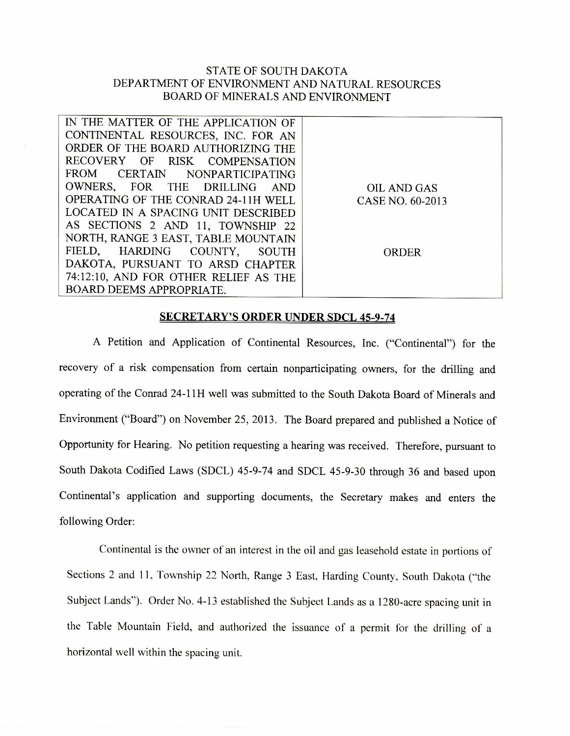## STATE OF SOUTH DAKOTA DEPARTMENT OF ENVIRONMENT AND NATURAL RESOURCES BOARD OF MINERALS AND ENVIRONMENT

| IN THE MATTER OF THE APPLICATION OF   |                  |
|---------------------------------------|------------------|
| CONTINENTAL RESOURCES, INC. FOR AN    |                  |
| ORDER OF THE BOARD AUTHORIZING THE    |                  |
| RECOVERY OF RISK COMPENSATION         |                  |
| FROM CERTAIN NONPARTICIPATING         |                  |
| OWNERS, FOR THE DRILLING AND          | OIL AND GAS      |
| OPERATING OF THE CONRAD 24-11H WELL   | CASE NO. 60-2013 |
| LOCATED IN A SPACING UNIT DESCRIBED   |                  |
| AS SECTIONS 2 AND 11, TOWNSHIP 22     |                  |
| NORTH, RANGE 3 EAST, TABLE MOUNTAIN   |                  |
| FIELD, HARDING COUNTY, SOUTH          | <b>ORDER</b>     |
| DAKOTA, PURSUANT TO ARSD CHAPTER      |                  |
| 74:12:10, AND FOR OTHER RELIEF AS THE |                  |
| BOARD DEEMS APPROPRIATE.              |                  |
|                                       |                  |

## SECRETARY'S ORDER UNDER SDCL 45-9-74

A Petition and Application of Continental Resources, Inc. ("Continental") for the recovery of a risk compensation from certain nonparticipating owners, for the drilling and operating of the Conrad 24-11H well was submitted to the South Dakota Board of Minerals and Environment ("Board") on November 25, 2013. The Board prepared and published a Notice of Opportunity for Hearing. No petition requesting a hearing was received. Therefore, pursuant to South Dakota Codified Laws (SDCL) 45-9-74 and SDCL 45-9-30 through 36 and based upon Continental's application and supporting documents, the Secretary makes and enters the following Order:

Continental is the owner of an interest in the oil and gas leasehold estate in portions of Sections 2 and 11, Township 22 North, Range 3 East, Harding County, South Dakota ("the Subject Lands"). Order No. 4-13 established the Subject Lands as a 1280-acre spacing unit in the Table Mountain Field, and authorized the issuance of a permit for the drilling of a horizontal well within the spacing unit.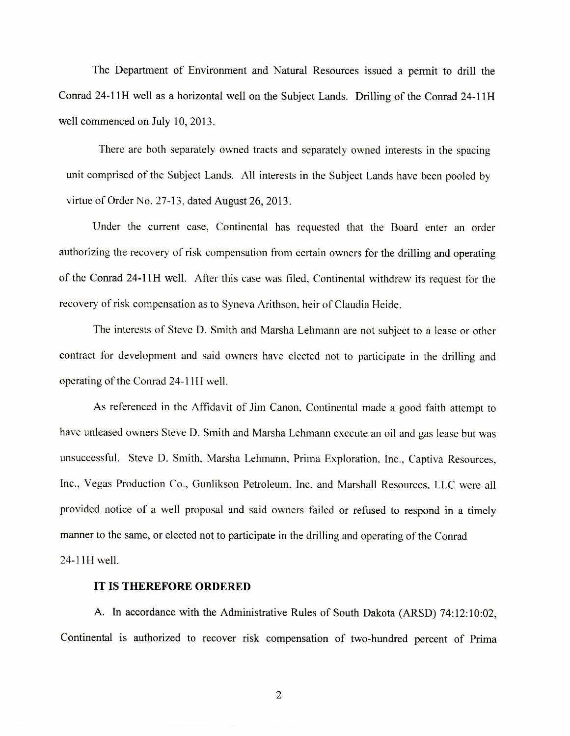The Department of Environment and Natural Resources issued a permit to drill the Conrad 24-11H well as a horizontal well on the Subject Lands. Drilling of the Conrad 24-11H well commenced on July 10, 2013.

There are both separately owned tracts and separately owned interests in the spacing unit comprised of the Subject Lands. All interests in the Subject Lands have been pooled by virtue of Order No. 27-13, dated August 26, 2013.

Under the current case, Continental has requested that the Board enter an order authorizing the recovery of risk compensation from certain owners for the drilling and operating of the Conrad 24-11H well. After this case was filed, Continental withdrew its request for the recovery of risk compensation as to Syneva Arithson, heir of Claudia Heide.

The interests of Steve D. Smith and Marsha Lehmann are not subject to a lease or other contract for development and said owners have elected not to participate in the drilling and operating of the Conrad 24-11H well.

As referenced in the Affidavit of Jim Canon, Continental made a good faith attempt to have unleased owners Steve D. Smith and Marsha Lehmann execute an oil and gas lease but was unsuccessful. Steve D. Smith, Marsha Lehmann, Prima Exploration, Inc., Captiva Resources, Inc., Vegas Production Co., Gunlikson Petroleum, Inc. and Marshall Resources. LLC were all provided notice of a well proposal and said owners failed or refused to respond in a timely manner to the same, or elected not to participate in the drilling and operating of the Conrad 24-1114 well.

## **IT IS THEREFORE ORDERED**

A. In accordance with the Administrative Rules of South Dakota (ARSD) 74:12:10:02, Continental **is** authorized to recover risk compensation of two-hundred percent of Prima

2